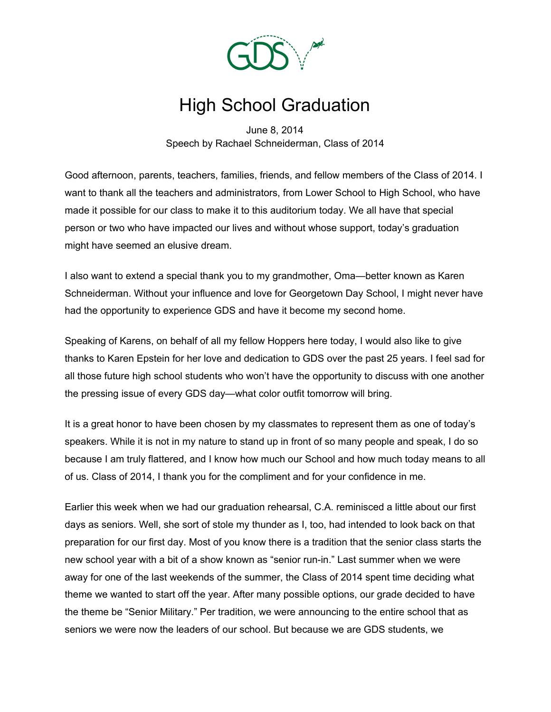

## High School Graduation

June 8, 2014 Speech by Rachael Schneiderman, Class of 2014

Good afternoon, parents, teachers, families, friends, and fellow members of the Class of 2014. I want to thank all the teachers and administrators, from Lower School to High School, who have made it possible for our class to make it to this auditorium today. We all have that special person or two who have impacted our lives and without whose support, today's graduation might have seemed an elusive dream.

I also want to extend a special thank you to my grandmother, Oma—better known as Karen Schneiderman. Without your influence and love for Georgetown Day School, I might never have had the opportunity to experience GDS and have it become my second home.

Speaking of Karens, on behalf of all my fellow Hoppers here today, I would also like to give thanks to Karen Epstein for her love and dedication to GDS over the past 25 years. I feel sad for all those future high school students who won't have the opportunity to discuss with one another the pressing issue of every GDS day—what color outfit tomorrow will bring.

It is a great honor to have been chosen by my classmates to represent them as one of today's speakers. While it is not in my nature to stand up in front of so many people and speak, I do so because I am truly flattered, and I know how much our School and how much today means to all of us. Class of 2014, I thank you for the compliment and for your confidence in me.

Earlier this week when we had our graduation rehearsal, C.A. reminisced a little about our first days as seniors. Well, she sort of stole my thunder as I, too, had intended to look back on that preparation for our first day. Most of you know there is a tradition that the senior class starts the new school year with a bit of a show known as "senior run-in." Last summer when we were away for one of the last weekends of the summer, the Class of 2014 spent time deciding what theme we wanted to start off the year. After many possible options, our grade decided to have the theme be "Senior Military." Per tradition, we were announcing to the entire school that as seniors we were now the leaders of our school. But because we are GDS students, we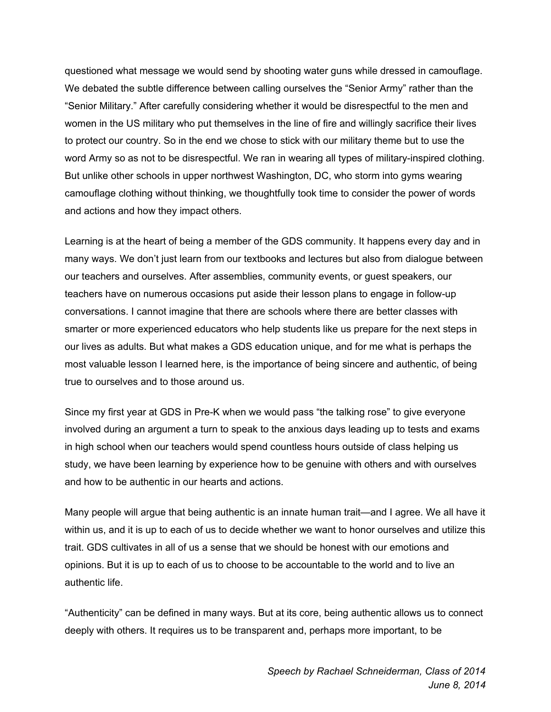questioned what message we would send by shooting water guns while dressed in camouflage. We debated the subtle difference between calling ourselves the "Senior Army" rather than the "Senior Military." After carefully considering whether it would be disrespectful to the men and women in the US military who put themselves in the line of fire and willingly sacrifice their lives to protect our country. So in the end we chose to stick with our military theme but to use the word Army so as not to be disrespectful. We ran in wearing all types of military-inspired clothing. But unlike other schools in upper northwest Washington, DC, who storm into gyms wearing camouflage clothing without thinking, we thoughtfully took time to consider the power of words and actions and how they impact others.

Learning is at the heart of being a member of the GDS community. It happens every day and in many ways. We don't just learn from our textbooks and lectures but also from dialogue between our teachers and ourselves. After assemblies, community events, or guest speakers, our teachers have on numerous occasions put aside their lesson plans to engage in follow-up conversations. I cannot imagine that there are schools where there are better classes with smarter or more experienced educators who help students like us prepare for the next steps in our lives as adults. But what makes a GDS education unique, and for me what is perhaps the most valuable lesson I learned here, is the importance of being sincere and authentic, of being true to ourselves and to those around us.

Since my first year at GDS in Pre-K when we would pass "the talking rose" to give everyone involved during an argument a turn to speak to the anxious days leading up to tests and exams in high school when our teachers would spend countless hours outside of class helping us study, we have been learning by experience how to be genuine with others and with ourselves and how to be authentic in our hearts and actions.

Many people will argue that being authentic is an innate human trait—and I agree. We all have it within us, and it is up to each of us to decide whether we want to honor ourselves and utilize this trait. GDS cultivates in all of us a sense that we should be honest with our emotions and opinions. But it is up to each of us to choose to be accountable to the world and to live an authentic life.

"Authenticity" can be defined in many ways. But at its core, being authentic allows us to connect deeply with others. It requires us to be transparent and, perhaps more important, to be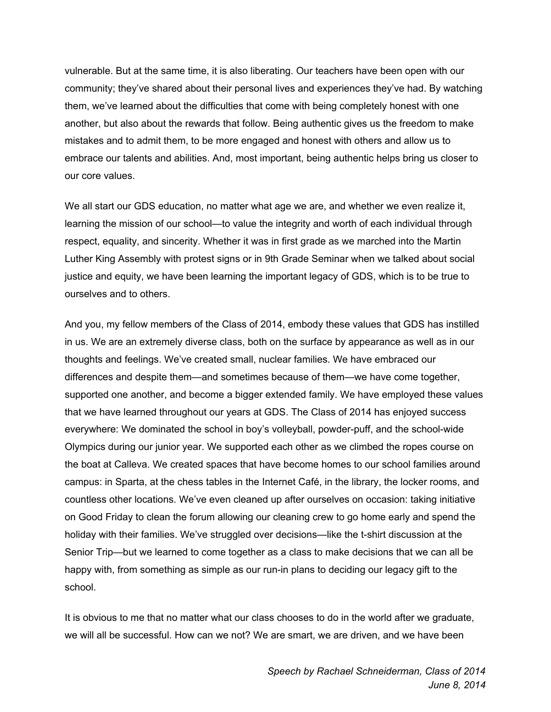vulnerable. But at the same time, it is also liberating. Our teachers have been open with our community; they've shared about their personal lives and experiences they've had. By watching them, we've learned about the difficulties that come with being completely honest with one another, but also about the rewards that follow. Being authentic gives us the freedom to make mistakes and to admit them, to be more engaged and honest with others and allow us to embrace our talents and abilities. And, most important, being authentic helps bring us closer to our core values.

We all start our GDS education, no matter what age we are, and whether we even realize it, learning the mission of our school—to value the integrity and worth of each individual through respect, equality, and sincerity. Whether it was in first grade as we marched into the Martin Luther King Assembly with protest signs or in 9th Grade Seminar when we talked about social justice and equity, we have been learning the important legacy of GDS, which is to be true to ourselves and to others.

And you, my fellow members of the Class of 2014, embody these values that GDS has instilled in us. We are an extremely diverse class, both on the surface by appearance as well as in our thoughts and feelings. We've created small, nuclear families. We have embraced our differences and despite them—and sometimes because of them—we have come together, supported one another, and become a bigger extended family. We have employed these values that we have learned throughout our years at GDS. The Class of 2014 has enjoyed success everywhere: We dominated the school in boy's volleyball, powder-puff, and the school-wide Olympics during our junior year. We supported each other as we climbed the ropes course on the boat at Calleva. We created spaces that have become homes to our school families around campus: in Sparta, at the chess tables in the Internet Café, in the library, the locker rooms, and countless other locations. We've even cleaned up after ourselves on occasion: taking initiative on Good Friday to clean the forum allowing our cleaning crew to go home early and spend the holiday with their families. We've struggled over decisions—like the t-shirt discussion at the Senior Trip—but we learned to come together as a class to make decisions that we can all be happy with, from something as simple as our run-in plans to deciding our legacy gift to the school.

It is obvious to me that no matter what our class chooses to do in the world after we graduate, we will all be successful. How can we not? We are smart, we are driven, and we have been